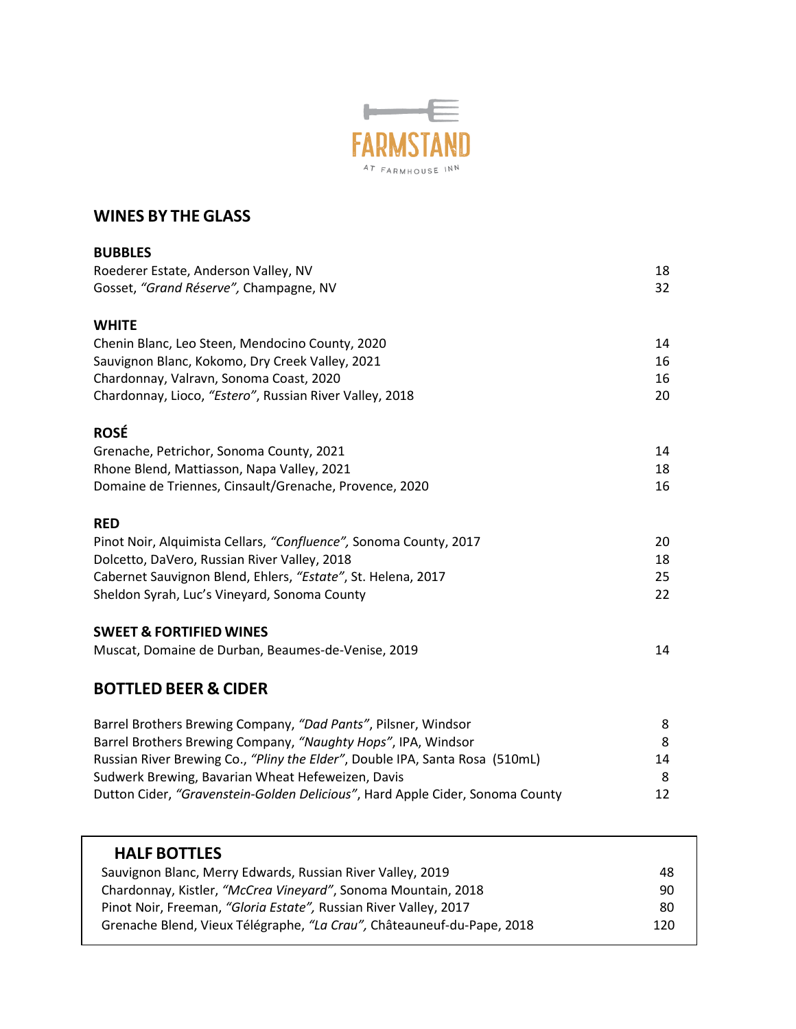

## **WINES BY THE GLASS**

| <b>BUBBLES</b>                                                                |    |
|-------------------------------------------------------------------------------|----|
| Roederer Estate, Anderson Valley, NV                                          | 18 |
| Gosset, "Grand Réserve", Champagne, NV                                        | 32 |
| <b>WHITE</b>                                                                  |    |
| Chenin Blanc, Leo Steen, Mendocino County, 2020                               | 14 |
| Sauvignon Blanc, Kokomo, Dry Creek Valley, 2021                               | 16 |
| Chardonnay, Valravn, Sonoma Coast, 2020                                       | 16 |
| Chardonnay, Lioco, "Estero", Russian River Valley, 2018                       | 20 |
| <b>ROSÉ</b>                                                                   |    |
| Grenache, Petrichor, Sonoma County, 2021                                      | 14 |
| Rhone Blend, Mattiasson, Napa Valley, 2021                                    | 18 |
| Domaine de Triennes, Cinsault/Grenache, Provence, 2020                        | 16 |
| <b>RED</b>                                                                    |    |
| Pinot Noir, Alquimista Cellars, "Confluence", Sonoma County, 2017             | 20 |
| Dolcetto, DaVero, Russian River Valley, 2018                                  | 18 |
| Cabernet Sauvignon Blend, Ehlers, "Estate", St. Helena, 2017                  | 25 |
| Sheldon Syrah, Luc's Vineyard, Sonoma County                                  | 22 |
| <b>SWEET &amp; FORTIFIED WINES</b>                                            |    |
| Muscat, Domaine de Durban, Beaumes-de-Venise, 2019                            | 14 |
| <b>BOTTLED BEER &amp; CIDER</b>                                               |    |
| Barrel Brothers Brewing Company, "Dad Pants", Pilsner, Windsor                | 8  |
| Barrel Brothers Brewing Company, "Naughty Hops", IPA, Windsor                 | 8  |
| Russian River Brewing Co., "Pliny the Elder", Double IPA, Santa Rosa (510mL)  | 14 |
| Sudwerk Brewing, Bavarian Wheat Hefeweizen, Davis                             | 8  |
| Dutton Cider, "Gravenstein-Golden Delicious", Hard Apple Cider, Sonoma County | 12 |

| <b>HALF BOTTLES</b>                                                    |     |
|------------------------------------------------------------------------|-----|
| Sauvignon Blanc, Merry Edwards, Russian River Valley, 2019             | 48  |
| Chardonnay, Kistler, "McCrea Vineyard", Sonoma Mountain, 2018          | 90  |
| Pinot Noir, Freeman, "Gloria Estate", Russian River Valley, 2017       | 80  |
| Grenache Blend, Vieux Télégraphe, "La Crau", Châteauneuf-du-Pape, 2018 | 120 |